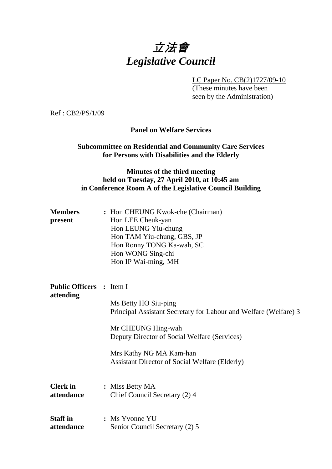# 立法會 *Legislative Council*

LC Paper No. CB(2)1727/09-10

 (These minutes have been seen by the Administration)

Ref : CB2/PS/1/09

**Panel on Welfare Services** 

**Subcommittee on Residential and Community Care Services for Persons with Disabilities and the Elderly** 

### **Minutes of the third meeting held on Tuesday, 27 April 2010, at 10:45 am in Conference Room A of the Legislative Council Building**

| <b>Members</b> | : Hon CHEUNG Kwok-che (Chairman) |
|----------------|----------------------------------|
| present        | Hon LEE Cheuk-yan                |
|                | Hon LEUNG Yiu-chung              |
|                | Hon TAM Yiu-chung, GBS, JP       |
|                | Hon Ronny TONG Ka-wah, SC        |
|                | Hon WONG Sing-chi                |
|                | Hon IP Wai-ming, MH              |

**Public Officers :** Item I **attending** 

> Ms Betty HO Siu-ping Principal Assistant Secretary for Labour and Welfare (Welfare) 3

Mr CHEUNG Hing-wah Deputy Director of Social Welfare (Services)

Mrs Kathy NG MA Kam-han Assistant Director of Social Welfare (Elderly)

- **Clerk in : Miss Betty MA attendance** Chief Council Secretary (2) 4
- **Staff in : Ms Yvonne YU attendance** Senior Council Secretary (2) 5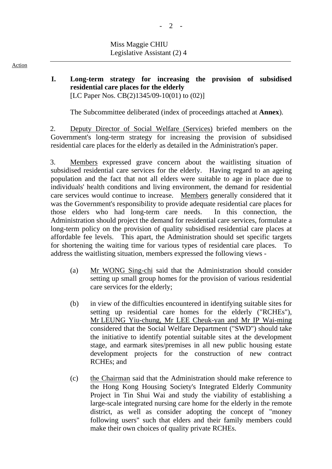#### **I. Long-term strategy for increasing the provision of subsidised residential care places for the elderly**  [LC Paper Nos. CB(2)1345/09-10(01) to (02)]

1. The Subcommittee deliberated (index of proceedings attached at **Annex**).

2. Deputy Director of Social Welfare (Services) briefed members on the Government's long-term strategy for increasing the provision of subsidised residential care places for the elderly as detailed in the Administration's paper.

3. Members expressed grave concern about the waitlisting situation of subsidised residential care services for the elderly. Having regard to an ageing population and the fact that not all elders were suitable to age in place due to individuals' health conditions and living environment, the demand for residential care services would continue to increase. Members generally considered that it was the Government's responsibility to provide adequate residential care places for those elders who had long-term care needs. In this connection, the Administration should project the demand for residential care services, formulate a long-term policy on the provision of quality subsidised residential care places at affordable fee levels. This apart, the Administration should set specific targets for shortening the waiting time for various types of residential care places. To address the waitlisting situation, members expressed the following views -

- (a) Mr WONG Sing-chi said that the Administration should consider setting up small group homes for the provision of various residential care services for the elderly;
- (b) in view of the difficulties encountered in identifying suitable sites for setting up residential care homes for the elderly ("RCHEs"), Mr LEUNG Yiu-chung, Mr LEE Cheuk-yan and Mr IP Wai-ming considered that the Social Welfare Department ("SWD") should take the initiative to identify potential suitable sites at the development stage, and earmark sites/premises in all new public housing estate development projects for the construction of new contract RCHEs; and
- (c) the Chairman said that the Administration should make reference to the Hong Kong Housing Society's Integrated Elderly Community Project in Tin Shui Wai and study the viability of establishing a large-scale integrated nursing care home for the elderly in the remote district, as well as consider adopting the concept of "money following users" such that elders and their family members could make their own choices of quality private RCHEs.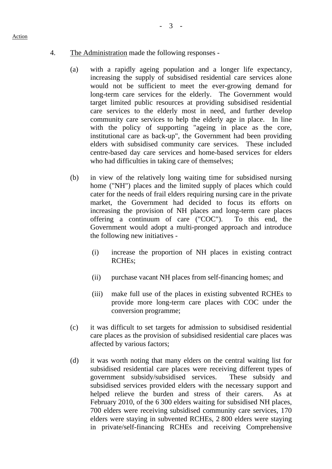#### 4. The Administration made the following responses -

- (a) with a rapidly ageing population and a longer life expectancy, increasing the supply of subsidised residential care services alone would not be sufficient to meet the ever-growing demand for long-term care services for the elderly. The Government would target limited public resources at providing subsidised residential care services to the elderly most in need, and further develop community care services to help the elderly age in place. In line with the policy of supporting "ageing in place as the core, institutional care as back-up", the Government had been providing elders with subsidised community care services. These included centre-based day care services and home-based services for elders who had difficulties in taking care of themselves;
- (b) in view of the relatively long waiting time for subsidised nursing home ("NH") places and the limited supply of places which could cater for the needs of frail elders requiring nursing care in the private market, the Government had decided to focus its efforts on increasing the provision of NH places and long-term care places offering a continuum of care ("COC"). To this end, the Government would adopt a multi-pronged approach and introduce the following new initiatives -
	- (i) increase the proportion of NH places in existing contract RCHEs;
	- (ii) purchase vacant NH places from self-financing homes; and
	- (iii) make full use of the places in existing subvented RCHEs to provide more long-term care places with COC under the conversion programme;
- (c) it was difficult to set targets for admission to subsidised residential care places as the provision of subsidised residential care places was affected by various factors;
- (d) it was worth noting that many elders on the central waiting list for subsidised residential care places were receiving different types of government subsidy/subsidised services. These subsidy and subsidised services provided elders with the necessary support and helped relieve the burden and stress of their carers. As at February 2010, of the 6,300 elders waiting for subsidised NH places, 700 elders were receiving subsidised community care services, 170 elders were staying in subvented RCHEs, 2,800 elders were staying in private/self-financing RCHEs and receiving Comprehensive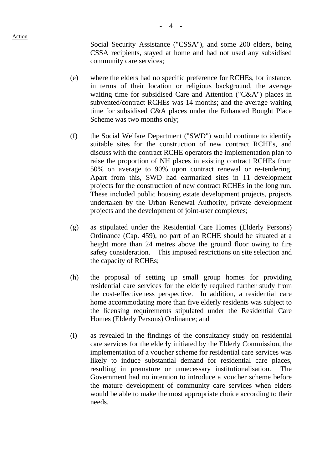Social Security Assistance ("CSSA"), and some 200 elders, being CSSA recipients, stayed at home and had not used any subsidised community care services;

- (e) where the elders had no specific preference for RCHEs, for instance, in terms of their location or religious background, the average waiting time for subsidised Care and Attention ("C&A") places in subvented/contract RCHEs was 14 months; and the average waiting time for subsidised C&A places under the Enhanced Bought Place Scheme was two months only;
- (f) the Social Welfare Department ("SWD") would continue to identify suitable sites for the construction of new contract RCHEs, and discuss with the contract RCHE operators the implementation plan to raise the proportion of NH places in existing contract RCHEs from 50% on average to 90% upon contract renewal or re-tendering. Apart from this, SWD had earmarked sites in 11 development projects for the construction of new contract RCHEs in the long run. These included public housing estate development projects, projects undertaken by the Urban Renewal Authority, private development projects and the development of joint-user complexes;
- (g) as stipulated under the Residential Care Homes (Elderly Persons) Ordinance (Cap. 459), no part of an RCHE should be situated at a height more than 24 metres above the ground floor owing to fire safety consideration. This imposed restrictions on site selection and the capacity of RCHEs;
- (h) the proposal of setting up small group homes for providing residential care services for the elderly required further study from the cost-effectiveness perspective. In addition, a residential care home accommodating more than five elderly residents was subject to the licensing requirements stipulated under the Residential Care Homes (Elderly Persons) Ordinance; and
- (i) as revealed in the findings of the consultancy study on residential care services for the elderly initiated by the Elderly Commission, the implementation of a voucher scheme for residential care services was likely to induce substantial demand for residential care places, resulting in premature or unnecessary institutionalisation. The Government had no intention to introduce a voucher scheme before the mature development of community care services when elders would be able to make the most appropriate choice according to their needs.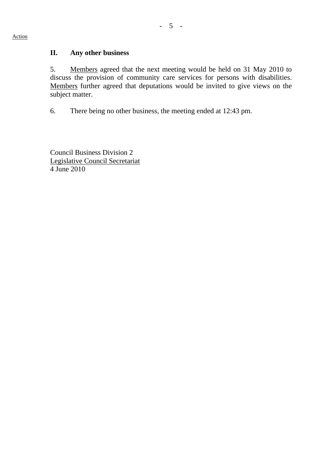5. Members agreed that the next meeting would be held on 31 May 2010 to discuss the provision of community care services for persons with disabilities. Members further agreed that deputations would be invited to give views on the subject matter.

6. There being no other business, the meeting ended at 12:43 pm.

Council Business Division 2 Legislative Council Secretariat 4 June 2010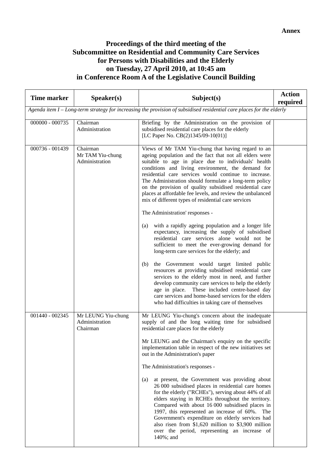## **Proceedings of the third meeting of the Subcommittee on Residential and Community Care Services for Persons with Disabilities and the Elderly on Tuesday, 27 April 2010, at 10:45 am in Conference Room A of the Legislative Council Building**

| <b>Time marker</b> | Speaker(s)                                       | Subject(s)                                                                                                                                                                                                                                                                                                                                                                                                                                                                                                                                                                                                                                                                                                                                                                                                                                                                                                                                                                                                                                                                                                                                                                                                                | <b>Action</b><br>required |
|--------------------|--------------------------------------------------|---------------------------------------------------------------------------------------------------------------------------------------------------------------------------------------------------------------------------------------------------------------------------------------------------------------------------------------------------------------------------------------------------------------------------------------------------------------------------------------------------------------------------------------------------------------------------------------------------------------------------------------------------------------------------------------------------------------------------------------------------------------------------------------------------------------------------------------------------------------------------------------------------------------------------------------------------------------------------------------------------------------------------------------------------------------------------------------------------------------------------------------------------------------------------------------------------------------------------|---------------------------|
|                    |                                                  | Agenda item I – Long-term strategy for increasing the provision of subsidised residential care places for the elderly                                                                                                                                                                                                                                                                                                                                                                                                                                                                                                                                                                                                                                                                                                                                                                                                                                                                                                                                                                                                                                                                                                     |                           |
| $000000 - 000735$  | Chairman<br>Administration                       | Briefing by the Administration on the provision of<br>subsidised residential care places for the elderly<br>[LC Paper No. CB(2)1345/09-10(01)]                                                                                                                                                                                                                                                                                                                                                                                                                                                                                                                                                                                                                                                                                                                                                                                                                                                                                                                                                                                                                                                                            |                           |
| 000736 - 001439    | Chairman<br>Mr TAM Yiu-chung<br>Administration   | Views of Mr TAM Yiu-chung that having regard to an<br>ageing population and the fact that not all elders were<br>suitable to age in place due to individuals' health<br>conditions and living environment, the demand for<br>residential care services would continue to increase.<br>The Administration should formulate a long-term policy<br>on the provision of quality subsidised residential care<br>places at affordable fee levels, and review the unbalanced<br>mix of different types of residential care services<br>The Administration' responses -<br>with a rapidly ageing population and a longer life<br>(a)<br>expectancy, increasing the supply of subsidised<br>residential care services alone would not be<br>sufficient to meet the ever-growing demand for<br>long-term care services for the elderly; and<br>the Government would target limited public<br>(b)<br>resources at providing subsidised residential care<br>services to the elderly most in need, and further<br>develop community care services to help the elderly<br>These included centre-based day<br>age in place.<br>care services and home-based services for the elders<br>who had difficulties in taking care of themselves |                           |
| 001440 - 002345    | Mr LEUNG Yiu-chung<br>Administration<br>Chairman | Mr LEUNG Yiu-chung's concern about the inadequate<br>supply of and the long waiting time for subsidised<br>residential care places for the elderly<br>Mr LEUNG and the Chairman's enquiry on the specific<br>implementation table in respect of the new initiatives set<br>out in the Administration's paper<br>The Administration's responses -<br>at present, the Government was providing about<br>(a)<br>26 000 subsidised places in residential care homes<br>for the elderly ("RCHEs"), serving about 44% of all<br>elders staying in RCHEs throughout the territory.<br>Compared with about 16 000 subsidised places in<br>1997, this represented an increase of 60%. The<br>Government's expenditure on elderly services had<br>also risen from $$1,620$ million to $$3,900$ million<br>over the period, representing an increase of<br>140%; and                                                                                                                                                                                                                                                                                                                                                                 |                           |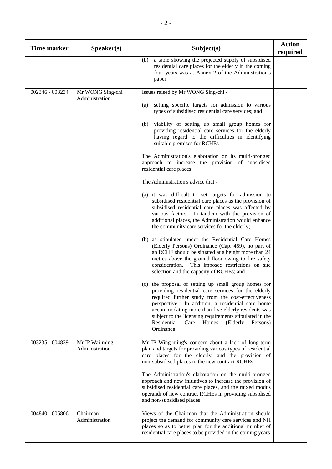| <b>Time marker</b> | S <sub>p</sub> e <sub>aker(s)</sub> | Subject(s)                                                                                                                                                                                                                                                                                                                                                                                                                                                                                                                                                                                                                                                                                                                                                                                                                                                                                                                                                 | <b>Action</b><br>required |
|--------------------|-------------------------------------|------------------------------------------------------------------------------------------------------------------------------------------------------------------------------------------------------------------------------------------------------------------------------------------------------------------------------------------------------------------------------------------------------------------------------------------------------------------------------------------------------------------------------------------------------------------------------------------------------------------------------------------------------------------------------------------------------------------------------------------------------------------------------------------------------------------------------------------------------------------------------------------------------------------------------------------------------------|---------------------------|
|                    |                                     | a table showing the projected supply of subsidised<br>(b)<br>residential care places for the elderly in the coming<br>four years was at Annex 2 of the Administration's<br>paper                                                                                                                                                                                                                                                                                                                                                                                                                                                                                                                                                                                                                                                                                                                                                                           |                           |
| 002346 - 003234    | Mr WONG Sing-chi                    | Issues raised by Mr WONG Sing-chi -                                                                                                                                                                                                                                                                                                                                                                                                                                                                                                                                                                                                                                                                                                                                                                                                                                                                                                                        |                           |
|                    | Administration                      | setting specific targets for admission to various<br>(a)<br>types of subsidised residential care services; and<br>viability of setting up small group homes for<br>(b)<br>providing residential care services for the elderly<br>having regard to the difficulties in identifying<br>suitable premises for RCHEs<br>The Administration's elaboration on its multi-pronged<br>approach to increase the provision of subsidised<br>residential care places<br>The Administration's advice that -<br>(a) it was difficult to set targets for admission to<br>subsidised residential care places as the provision of<br>subsidised residential care places was affected by                                                                                                                                                                                                                                                                                     |                           |
| 003235 - 004839    | Mr IP Wai-ming                      | various factors. In tandem with the provision of<br>additional places, the Administration would enhance<br>the community care services for the elderly;<br>(b) as stipulated under the Residential Care Homes<br>(Elderly Persons) Ordinance (Cap. 459), no part of<br>an RCHE should be situated at a height more than 24<br>metres above the ground floor owing to fire safety<br>consideration.<br>This imposed restrictions on site<br>selection and the capacity of RCHEs; and<br>(c) the proposal of setting up small group homes for<br>providing residential care services for the elderly<br>required further study from the cost-effectiveness<br>perspective. In addition, a residential care home<br>accommodating more than five elderly residents was<br>subject to the licensing requirements stipulated in the<br>Homes<br>Residential<br>Care<br>(Elderly<br>Persons)<br>Ordinance<br>Mr IP Wing-ming's concern about a lack of long-term |                           |
|                    | Administration                      | plan and targets for providing various types of residential<br>care places for the elderly, and the provision of<br>non-subsidised places in the new contract RCHEs<br>The Administration's elaboration on the multi-pronged<br>approach and new initiatives to increase the provision of<br>subsidised residential care places, and the mixed modus<br>operandi of new contract RCHEs in providing subsidised<br>and non-subsidised places                                                                                                                                                                                                                                                                                                                                                                                                                                                                                                                |                           |
| 004840 - 005806    | Chairman<br>Administration          | Views of the Chairman that the Administration should<br>project the demand for community care services and NH<br>places so as to better plan for the additional number of<br>residential care places to be provided in the coming years                                                                                                                                                                                                                                                                                                                                                                                                                                                                                                                                                                                                                                                                                                                    |                           |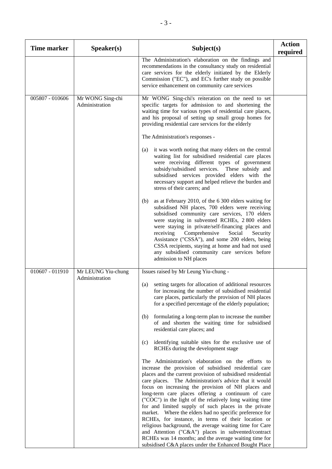| <b>Time marker</b> | S <sub>p</sub> e <sub>aker</sub> (s) | Subject(s)                                                                                                                                                                                                                                                                                                                                                                                                                                                                                                                                                                                                                                                                                                                                                                                                                                                                                                                                                                                                                                                                                                                                                                                                                                                                                                                                                    | <b>Action</b><br>required |
|--------------------|--------------------------------------|---------------------------------------------------------------------------------------------------------------------------------------------------------------------------------------------------------------------------------------------------------------------------------------------------------------------------------------------------------------------------------------------------------------------------------------------------------------------------------------------------------------------------------------------------------------------------------------------------------------------------------------------------------------------------------------------------------------------------------------------------------------------------------------------------------------------------------------------------------------------------------------------------------------------------------------------------------------------------------------------------------------------------------------------------------------------------------------------------------------------------------------------------------------------------------------------------------------------------------------------------------------------------------------------------------------------------------------------------------------|---------------------------|
|                    |                                      | The Administration's elaboration on the findings and<br>recommendations in the consultancy study on residential<br>care services for the elderly initiated by the Elderly<br>Commission ("EC"), and EC's further study on possible<br>service enhancement on community care services                                                                                                                                                                                                                                                                                                                                                                                                                                                                                                                                                                                                                                                                                                                                                                                                                                                                                                                                                                                                                                                                          |                           |
| 005807 - 010606    | Mr WONG Sing-chi<br>Administration   | Mr WONG Sing-chi's reiteration on the need to set<br>specific targets for admission to and shortening the<br>waiting time for various types of residential care places,<br>and his proposal of setting up small group homes for<br>providing residential care services for the elderly<br>The Administration's responses -<br>it was worth noting that many elders on the central<br>(a)<br>waiting list for subsidised residential care places<br>were receiving different types of government<br>subsidy/subsidised services. These subsidy and<br>subsidised services provided elders with the<br>necessary support and helped relieve the burden and<br>stress of their carers; and<br>as at February 2010, of the 6 300 elders waiting for<br>(b)                                                                                                                                                                                                                                                                                                                                                                                                                                                                                                                                                                                                        |                           |
|                    |                                      | subsidised NH places, 700 elders were receiving<br>subsidised community care services, 170 elders<br>were staying in subvented RCHEs, 2 800 elders<br>were staying in private/self-financing places and<br>Comprehensive<br>receiving<br>Social<br>Security<br>Assistance ("CSSA"), and some 200 elders, being<br>CSSA recipients, staying at home and had not used<br>any subsidised community care services before<br>admission to NH places                                                                                                                                                                                                                                                                                                                                                                                                                                                                                                                                                                                                                                                                                                                                                                                                                                                                                                                |                           |
| 010607 - 011910    | Mr LEUNG Yiu-chung<br>Administration | Issues raised by Mr Leung Yiu-chung -<br>setting targets for allocation of additional resources<br>(a)<br>for increasing the number of subsidised residential<br>care places, particularly the provision of NH places<br>for a specified percentage of the elderly population;<br>formulating a long-term plan to increase the number<br>(b)<br>of and shorten the waiting time for subsidised<br>residential care places; and<br>identifying suitable sites for the exclusive use of<br>(c)<br>RCHEs during the development stage<br>The Administration's elaboration on the efforts to<br>increase the provision of subsidised residential care<br>places and the current provision of subsidised residential<br>care places. The Administration's advice that it would<br>focus on increasing the provision of NH places and<br>long-term care places offering a continuum of care<br>("COC") in the light of the relatively long waiting time<br>for and limited supply of such places in the private<br>market. Where the elders had no specific preference for<br>RCHEs, for instance, in terms of their location or<br>religious background, the average waiting time for Care<br>and Attention ("C&A") places in subvented/contract<br>RCHEs was 14 months; and the average waiting time for<br>subsidised C&A places under the Enhanced Bought Place |                           |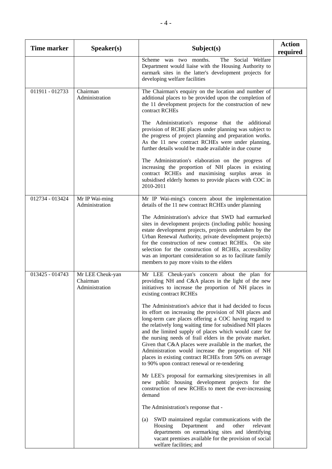| <b>Time marker</b> | S <sub>p</sub> eaker(s)                        | Subject(s)                                                                                                                                                                                                                                                                                                                                                                                                                                                                                                                                                                                | <b>Action</b><br>required |
|--------------------|------------------------------------------------|-------------------------------------------------------------------------------------------------------------------------------------------------------------------------------------------------------------------------------------------------------------------------------------------------------------------------------------------------------------------------------------------------------------------------------------------------------------------------------------------------------------------------------------------------------------------------------------------|---------------------------|
|                    |                                                | Scheme was two months.<br>The Social Welfare<br>Department would liaise with the Housing Authority to<br>earmark sites in the latter's development projects for<br>developing welfare facilities                                                                                                                                                                                                                                                                                                                                                                                          |                           |
| 011911 - 012733    | Chairman<br>Administration                     | The Chairman's enquiry on the location and number of<br>additional places to be provided upon the completion of<br>the 11 development projects for the construction of new<br>contract RCHEs                                                                                                                                                                                                                                                                                                                                                                                              |                           |
|                    |                                                | The Administration's response that the additional<br>provision of RCHE places under planning was subject to<br>the progress of project planning and preparation works.<br>As the 11 new contract RCHEs were under planning,<br>further details would be made available in due course                                                                                                                                                                                                                                                                                                      |                           |
|                    |                                                | The Administration's elaboration on the progress of<br>increasing the proportion of NH places in existing<br>contract RCHEs and maximising surplus areas in<br>subsidised elderly homes to provide places with COC in<br>2010-2011                                                                                                                                                                                                                                                                                                                                                        |                           |
| 012734 - 013424    | Mr IP Wai-ming<br>Administration               | Mr IP Wai-ming's concern about the implementation<br>details of the 11 new contract RCHEs under planning                                                                                                                                                                                                                                                                                                                                                                                                                                                                                  |                           |
|                    |                                                | The Administration's advice that SWD had earmarked<br>sites in development projects (including public housing<br>estate development projects, projects undertaken by the<br>Urban Renewal Authority, private development projects)<br>for the construction of new contract RCHEs. On site<br>selection for the construction of RCHEs, accessibility<br>was an important consideration so as to facilitate family<br>members to pay more visits to the elders                                                                                                                              |                           |
| 013425 - 014743    | Mr LEE Cheuk-yan<br>Chairman<br>Administration | Mr LEE Cheuk-yan's concern about the plan for<br>providing NH and C&A places in the light of the new<br>initiatives to increase the proportion of NH places in<br>existing contract RCHEs                                                                                                                                                                                                                                                                                                                                                                                                 |                           |
|                    |                                                | The Administration's advice that it had decided to focus<br>its effort on increasing the provision of NH places and<br>long-term care places offering a COC having regard to<br>the relatively long waiting time for subsidised NH places<br>and the limited supply of places which would cater for<br>the nursing needs of frail elders in the private market.<br>Given that C&A places were available in the market, the<br>Administration would increase the proportion of NH<br>places in existing contract RCHEs from 50% on average<br>to 90% upon contract renewal or re-tendering |                           |
|                    |                                                | Mr LEE's proposal for earmarking sites/premises in all<br>new public housing development projects for the<br>construction of new RCHEs to meet the ever-increasing<br>demand                                                                                                                                                                                                                                                                                                                                                                                                              |                           |
|                    |                                                | The Administration's response that -                                                                                                                                                                                                                                                                                                                                                                                                                                                                                                                                                      |                           |
|                    |                                                | SWD maintained regular communications with the<br>(a)<br>Department<br>and<br>other<br>relevant<br>Housing<br>departments on earmarking sites and identifying<br>vacant premises available for the provision of social<br>welfare facilities; and                                                                                                                                                                                                                                                                                                                                         |                           |